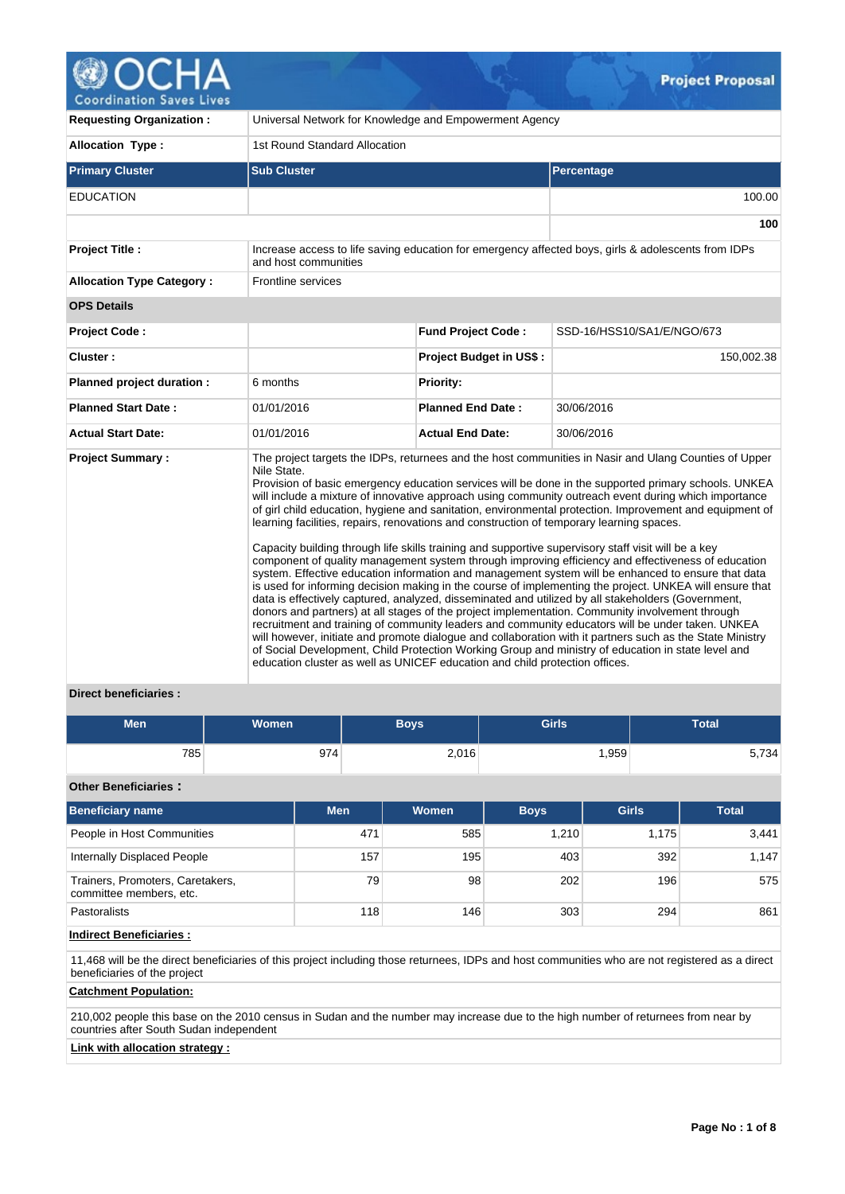

| <b>Requesting Organization:</b>  |                                                                                                                                                                                        | Universal Network for Knowledge and Empowerment Agency |                                                                                                                                                                                                                                                                                                                                                                                                                                                                                                                                                                                                                                                                                                                                                                                                                                                                                                                                                                                                                                                                                                                                                                                                                                                                                                                                                                                                |  |  |  |
|----------------------------------|----------------------------------------------------------------------------------------------------------------------------------------------------------------------------------------|--------------------------------------------------------|------------------------------------------------------------------------------------------------------------------------------------------------------------------------------------------------------------------------------------------------------------------------------------------------------------------------------------------------------------------------------------------------------------------------------------------------------------------------------------------------------------------------------------------------------------------------------------------------------------------------------------------------------------------------------------------------------------------------------------------------------------------------------------------------------------------------------------------------------------------------------------------------------------------------------------------------------------------------------------------------------------------------------------------------------------------------------------------------------------------------------------------------------------------------------------------------------------------------------------------------------------------------------------------------------------------------------------------------------------------------------------------------|--|--|--|
| <b>Allocation Type:</b>          | 1st Round Standard Allocation                                                                                                                                                          |                                                        |                                                                                                                                                                                                                                                                                                                                                                                                                                                                                                                                                                                                                                                                                                                                                                                                                                                                                                                                                                                                                                                                                                                                                                                                                                                                                                                                                                                                |  |  |  |
| <b>Primary Cluster</b>           | <b>Sub Cluster</b>                                                                                                                                                                     |                                                        | Percentage                                                                                                                                                                                                                                                                                                                                                                                                                                                                                                                                                                                                                                                                                                                                                                                                                                                                                                                                                                                                                                                                                                                                                                                                                                                                                                                                                                                     |  |  |  |
| <b>EDUCATION</b>                 |                                                                                                                                                                                        |                                                        | 100.00                                                                                                                                                                                                                                                                                                                                                                                                                                                                                                                                                                                                                                                                                                                                                                                                                                                                                                                                                                                                                                                                                                                                                                                                                                                                                                                                                                                         |  |  |  |
|                                  |                                                                                                                                                                                        |                                                        | 100                                                                                                                                                                                                                                                                                                                                                                                                                                                                                                                                                                                                                                                                                                                                                                                                                                                                                                                                                                                                                                                                                                                                                                                                                                                                                                                                                                                            |  |  |  |
| <b>Project Title:</b>            | and host communities                                                                                                                                                                   |                                                        | Increase access to life saving education for emergency affected boys, girls & adolescents from IDPs                                                                                                                                                                                                                                                                                                                                                                                                                                                                                                                                                                                                                                                                                                                                                                                                                                                                                                                                                                                                                                                                                                                                                                                                                                                                                            |  |  |  |
| <b>Allocation Type Category:</b> | Frontline services                                                                                                                                                                     |                                                        |                                                                                                                                                                                                                                                                                                                                                                                                                                                                                                                                                                                                                                                                                                                                                                                                                                                                                                                                                                                                                                                                                                                                                                                                                                                                                                                                                                                                |  |  |  |
| <b>OPS Details</b>               |                                                                                                                                                                                        |                                                        |                                                                                                                                                                                                                                                                                                                                                                                                                                                                                                                                                                                                                                                                                                                                                                                                                                                                                                                                                                                                                                                                                                                                                                                                                                                                                                                                                                                                |  |  |  |
| <b>Project Code:</b>             |                                                                                                                                                                                        | <b>Fund Project Code:</b>                              | SSD-16/HSS10/SA1/E/NGO/673                                                                                                                                                                                                                                                                                                                                                                                                                                                                                                                                                                                                                                                                                                                                                                                                                                                                                                                                                                                                                                                                                                                                                                                                                                                                                                                                                                     |  |  |  |
| Cluster:                         |                                                                                                                                                                                        | Project Budget in US\$:                                | 150,002.38                                                                                                                                                                                                                                                                                                                                                                                                                                                                                                                                                                                                                                                                                                                                                                                                                                                                                                                                                                                                                                                                                                                                                                                                                                                                                                                                                                                     |  |  |  |
| Planned project duration :       | 6 months                                                                                                                                                                               | <b>Priority:</b>                                       |                                                                                                                                                                                                                                                                                                                                                                                                                                                                                                                                                                                                                                                                                                                                                                                                                                                                                                                                                                                                                                                                                                                                                                                                                                                                                                                                                                                                |  |  |  |
| <b>Planned Start Date:</b>       | 01/01/2016                                                                                                                                                                             | <b>Planned End Date:</b>                               | 30/06/2016                                                                                                                                                                                                                                                                                                                                                                                                                                                                                                                                                                                                                                                                                                                                                                                                                                                                                                                                                                                                                                                                                                                                                                                                                                                                                                                                                                                     |  |  |  |
| <b>Actual Start Date:</b>        | 01/01/2016                                                                                                                                                                             | <b>Actual End Date:</b>                                | 30/06/2016                                                                                                                                                                                                                                                                                                                                                                                                                                                                                                                                                                                                                                                                                                                                                                                                                                                                                                                                                                                                                                                                                                                                                                                                                                                                                                                                                                                     |  |  |  |
| <b>Project Summary:</b>          | Nile State.<br>learning facilities, repairs, renovations and construction of temporary learning spaces.<br>education cluster as well as UNICEF education and child protection offices. |                                                        | The project targets the IDPs, returnees and the host communities in Nasir and Ulang Counties of Upper<br>Provision of basic emergency education services will be done in the supported primary schools. UNKEA<br>will include a mixture of innovative approach using community outreach event during which importance<br>of girl child education, hygiene and sanitation, environmental protection. Improvement and equipment of<br>Capacity building through life skills training and supportive supervisory staff visit will be a key<br>component of quality management system through improving efficiency and effectiveness of education<br>system. Effective education information and management system will be enhanced to ensure that data<br>is used for informing decision making in the course of implementing the project. UNKEA will ensure that<br>data is effectively captured, analyzed, disseminated and utilized by all stakeholders (Government,<br>donors and partners) at all stages of the project implementation. Community involvement through<br>recruitment and training of community leaders and community educators will be under taken. UNKEA<br>will however, initiate and promote dialogue and collaboration with it partners such as the State Ministry<br>of Social Development, Child Protection Working Group and ministry of education in state level and |  |  |  |

# **Direct beneficiaries :**

| <b>Men</b> | <b>Women</b> | Boys  | <b>Girls</b> | <b>Total</b> |
|------------|--------------|-------|--------------|--------------|
| 785        | 974          | 2,016 | ,959         | 5,734        |

# **Other Beneficiaries :**

| <b>Beneficiary name</b>                                     | <b>Men</b> | <b>Women</b> | <b>Boys</b> | <b>Girls</b> | <b>Total</b> |
|-------------------------------------------------------------|------------|--------------|-------------|--------------|--------------|
| People in Host Communities                                  | 471        | 585          | 1.210       | 1.175        | 3,441        |
| Internally Displaced People                                 | 157        | 195          | 403         | 392          | 1.147        |
| Trainers, Promoters, Caretakers,<br>committee members, etc. | 79         | 98           | 202         | 196          | 575          |
| <b>Pastoralists</b>                                         | 118        | 146          | 303         | 294          | 861          |

## **Indirect Beneficiaries :**

11,468 will be the direct beneficiaries of this project including those returnees, IDPs and host communities who are not registered as a direct beneficiaries of the project

## **Catchment Population:**

210,002 people this base on the 2010 census in Sudan and the number may increase due to the high number of returnees from near by countries after South Sudan independent

# **Link with allocation strategy :**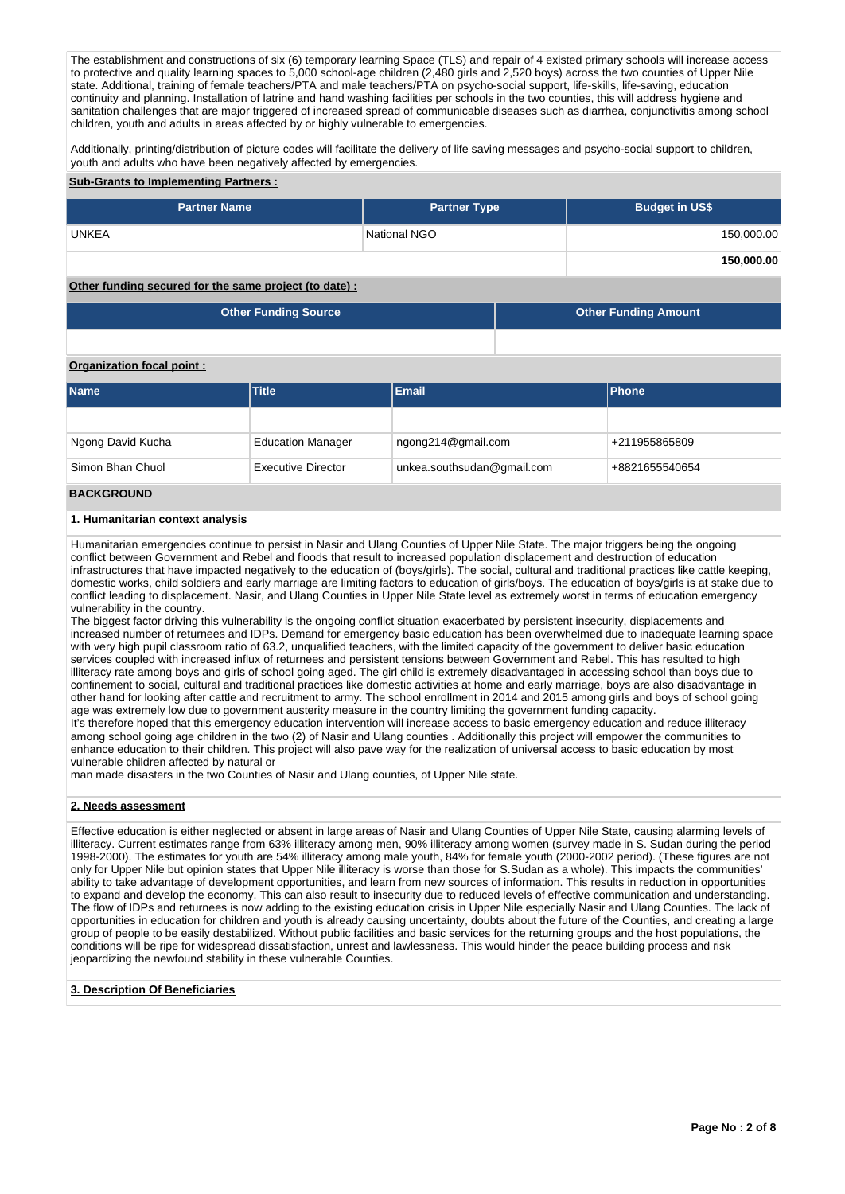The establishment and constructions of six (6) temporary learning Space (TLS) and repair of 4 existed primary schools will increase access to protective and quality learning spaces to 5,000 school-age children (2,480 girls and 2,520 boys) across the two counties of Upper Nile state. Additional, training of female teachers/PTA and male teachers/PTA on psycho-social support, life-skills, life-saving, education continuity and planning. Installation of latrine and hand washing facilities per schools in the two counties, this will address hygiene and sanitation challenges that are major triggered of increased spread of communicable diseases such as diarrhea, conjunctivitis among school children, youth and adults in areas affected by or highly vulnerable to emergencies.

Additionally, printing/distribution of picture codes will facilitate the delivery of life saving messages and psycho-social support to children, youth and adults who have been negatively affected by emergencies.

#### **Sub-Grants to Implementing Partners :**

| <b>Partner Name</b> | <b>Partner Type</b> | <b>Budget in US\$</b> |
|---------------------|---------------------|-----------------------|
| <b>UNKEA</b>        | National NGO        | 150,000.00            |
|                     |                     | 150,000.00            |

## **Other funding secured for the same project (to date) :**

| Other Funding Source | <b>Other Funding Amount</b> |
|----------------------|-----------------------------|
|                      |                             |

#### **Organization focal point :**

| <b>Name</b>       | <b>Title</b>              | Email                      | <b>Phone</b>   |
|-------------------|---------------------------|----------------------------|----------------|
|                   |                           |                            |                |
| Ngong David Kucha | <b>Education Manager</b>  | ngong214@gmail.com         | +211955865809  |
| Simon Bhan Chuol  | <b>Executive Director</b> | unkea.southsudan@gmail.com | +8821655540654 |

## **BACKGROUND**

## **1. Humanitarian context analysis**

Humanitarian emergencies continue to persist in Nasir and Ulang Counties of Upper Nile State. The major triggers being the ongoing conflict between Government and Rebel and floods that result to increased population displacement and destruction of education infrastructures that have impacted negatively to the education of (boys/girls). The social, cultural and traditional practices like cattle keeping, domestic works, child soldiers and early marriage are limiting factors to education of girls/boys. The education of boys/girls is at stake due to conflict leading to displacement. Nasir, and Ulang Counties in Upper Nile State level as extremely worst in terms of education emergency vulnerability in the country.

The biggest factor driving this vulnerability is the ongoing conflict situation exacerbated by persistent insecurity, displacements and increased number of returnees and IDPs. Demand for emergency basic education has been overwhelmed due to inadequate learning space with very high pupil classroom ratio of 63.2, unqualified teachers, with the limited capacity of the government to deliver basic education services coupled with increased influx of returnees and persistent tensions between Government and Rebel. This has resulted to high illiteracy rate among boys and girls of school going aged. The girl child is extremely disadvantaged in accessing school than boys due to confinement to social, cultural and traditional practices like domestic activities at home and early marriage, boys are also disadvantage in other hand for looking after cattle and recruitment to army. The school enrollment in 2014 and 2015 among girls and boys of school going age was extremely low due to government austerity measure in the country limiting the government funding capacity. It's therefore hoped that this emergency education intervention will increase access to basic emergency education and reduce illiteracy among school going age children in the two (2) of Nasir and Ulang counties . Additionally this project will empower the communities to enhance education to their children. This project will also pave way for the realization of universal access to basic education by most

vulnerable children affected by natural or man made disasters in the two Counties of Nasir and Ulang counties, of Upper Nile state.

## **2. Needs assessment**

Effective education is either neglected or absent in large areas of Nasir and Ulang Counties of Upper Nile State, causing alarming levels of illiteracy. Current estimates range from 63% illiteracy among men, 90% illiteracy among women (survey made in S. Sudan during the period 1998-2000). The estimates for youth are 54% illiteracy among male youth, 84% for female youth (2000-2002 period). (These figures are not only for Upper Nile but opinion states that Upper Nile illiteracy is worse than those for S.Sudan as a whole). This impacts the communities' ability to take advantage of development opportunities, and learn from new sources of information. This results in reduction in opportunities to expand and develop the economy. This can also result to insecurity due to reduced levels of effective communication and understanding. The flow of IDPs and returnees is now adding to the existing education crisis in Upper Nile especially Nasir and Ulang Counties. The lack of opportunities in education for children and youth is already causing uncertainty, doubts about the future of the Counties, and creating a large group of people to be easily destabilized. Without public facilities and basic services for the returning groups and the host populations, the conditions will be ripe for widespread dissatisfaction, unrest and lawlessness. This would hinder the peace building process and risk jeopardizing the newfound stability in these vulnerable Counties.

#### **3. Description Of Beneficiaries**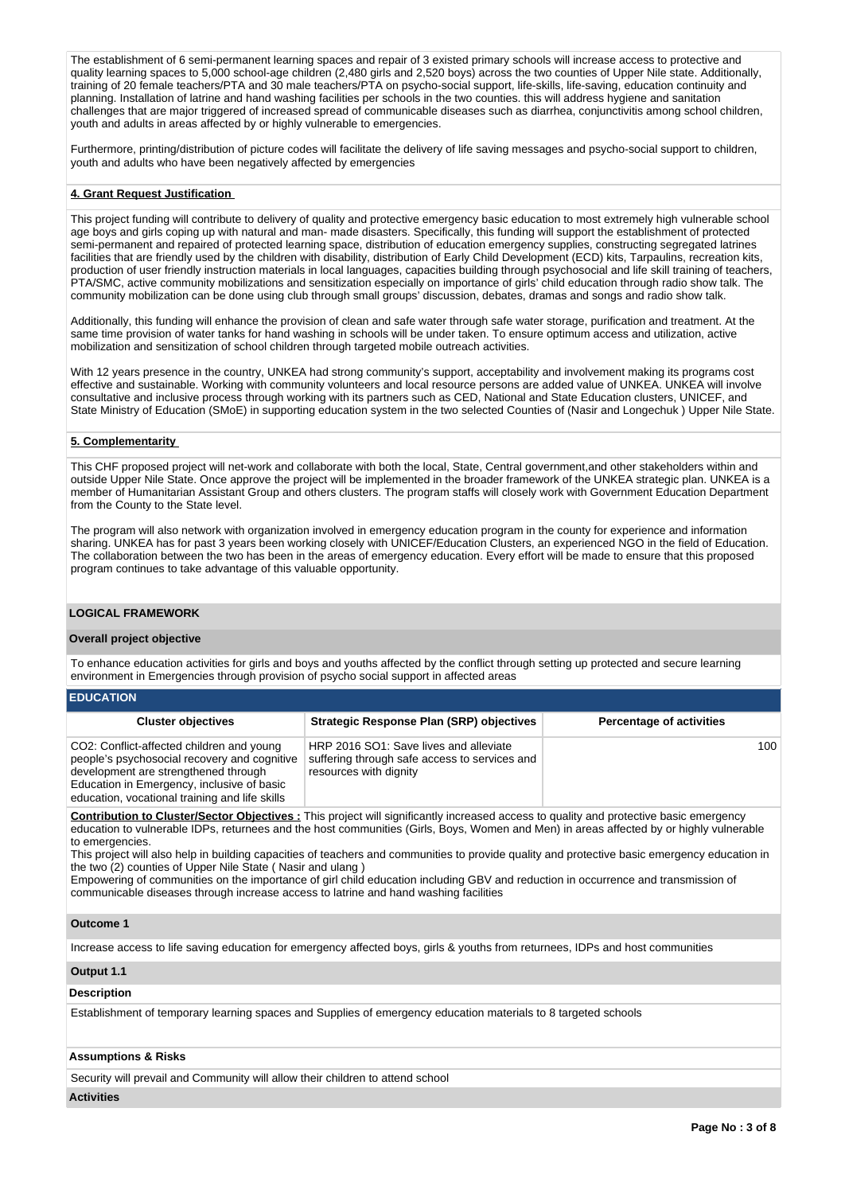The establishment of 6 semi-permanent learning spaces and repair of 3 existed primary schools will increase access to protective and quality learning spaces to 5,000 school-age children (2,480 girls and 2,520 boys) across the two counties of Upper Nile state. Additionally, training of 20 female teachers/PTA and 30 male teachers/PTA on psycho-social support, life-skills, life-saving, education continuity and planning. Installation of latrine and hand washing facilities per schools in the two counties. this will address hygiene and sanitation challenges that are major triggered of increased spread of communicable diseases such as diarrhea, conjunctivitis among school children, youth and adults in areas affected by or highly vulnerable to emergencies.

Furthermore, printing/distribution of picture codes will facilitate the delivery of life saving messages and psycho-social support to children, youth and adults who have been negatively affected by emergencies

## **4. Grant Request Justification**

This project funding will contribute to delivery of quality and protective emergency basic education to most extremely high vulnerable school age boys and girls coping up with natural and man- made disasters. Specifically, this funding will support the establishment of protected semi-permanent and repaired of protected learning space, distribution of education emergency supplies, constructing segregated latrines facilities that are friendly used by the children with disability, distribution of Early Child Development (ECD) kits, Tarpaulins, recreation kits, production of user friendly instruction materials in local languages, capacities building through psychosocial and life skill training of teachers, PTA/SMC, active community mobilizations and sensitization especially on importance of girls' child education through radio show talk. The community mobilization can be done using club through small groups' discussion, debates, dramas and songs and radio show talk.

Additionally, this funding will enhance the provision of clean and safe water through safe water storage, purification and treatment. At the same time provision of water tanks for hand washing in schools will be under taken. To ensure optimum access and utilization, active mobilization and sensitization of school children through targeted mobile outreach activities.

With 12 years presence in the country, UNKEA had strong community's support, acceptability and involvement making its programs cost effective and sustainable. Working with community volunteers and local resource persons are added value of UNKEA. UNKEA will involve consultative and inclusive process through working with its partners such as CED, National and State Education clusters, UNICEF, and State Ministry of Education (SMoE) in supporting education system in the two selected Counties of (Nasir and Longechuk ) Upper Nile State.

#### **5. Complementarity**

This CHF proposed project will net-work and collaborate with both the local, State, Central government,and other stakeholders within and outside Upper Nile State. Once approve the project will be implemented in the broader framework of the UNKEA strategic plan. UNKEA is a member of Humanitarian Assistant Group and others clusters. The program staffs will closely work with Government Education Department from the County to the State level.

The program will also network with organization involved in emergency education program in the county for experience and information sharing. UNKEA has for past 3 years been working closely with UNICEF/Education Clusters, an experienced NGO in the field of Education. The collaboration between the two has been in the areas of emergency education. Every effort will be made to ensure that this proposed program continues to take advantage of this valuable opportunity.

## **LOGICAL FRAMEWORK**

#### **Overall project objective**

To enhance education activities for girls and boys and youths affected by the conflict through setting up protected and secure learning environment in Emergencies through provision of psycho social support in affected areas

| <b>EDUCATION</b>                                                                                                                                                                                                                  |                                                                                                                   |                                 |
|-----------------------------------------------------------------------------------------------------------------------------------------------------------------------------------------------------------------------------------|-------------------------------------------------------------------------------------------------------------------|---------------------------------|
| <b>Cluster objectives</b>                                                                                                                                                                                                         | <b>Strategic Response Plan (SRP) objectives</b>                                                                   | <b>Percentage of activities</b> |
| CO2: Conflict-affected children and young<br>people's psychosocial recovery and cognitive<br>development are strengthened through<br>Education in Emergency, inclusive of basic<br>education, vocational training and life skills | HRP 2016 SO1: Save lives and alleviate<br>suffering through safe access to services and<br>resources with dignity | 100                             |

**Contribution to Cluster/Sector Objectives :** This project will significantly increased access to quality and protective basic emergency education to vulnerable IDPs, returnees and the host communities (Girls, Boys, Women and Men) in areas affected by or highly vulnerable to emergencies.

This project will also help in building capacities of teachers and communities to provide quality and protective basic emergency education in the two (2) counties of Upper Nile State ( Nasir and ulang )

Empowering of communities on the importance of girl child education including GBV and reduction in occurrence and transmission of communicable diseases through increase access to latrine and hand washing facilities

## **Outcome 1**

Increase access to life saving education for emergency affected boys, girls & youths from returnees, IDPs and host communities

## **Output 1.1**

#### **Description**

Establishment of temporary learning spaces and Supplies of emergency education materials to 8 targeted schools

## **Assumptions & Risks**

Security will prevail and Community will allow their children to attend school

#### **Activities**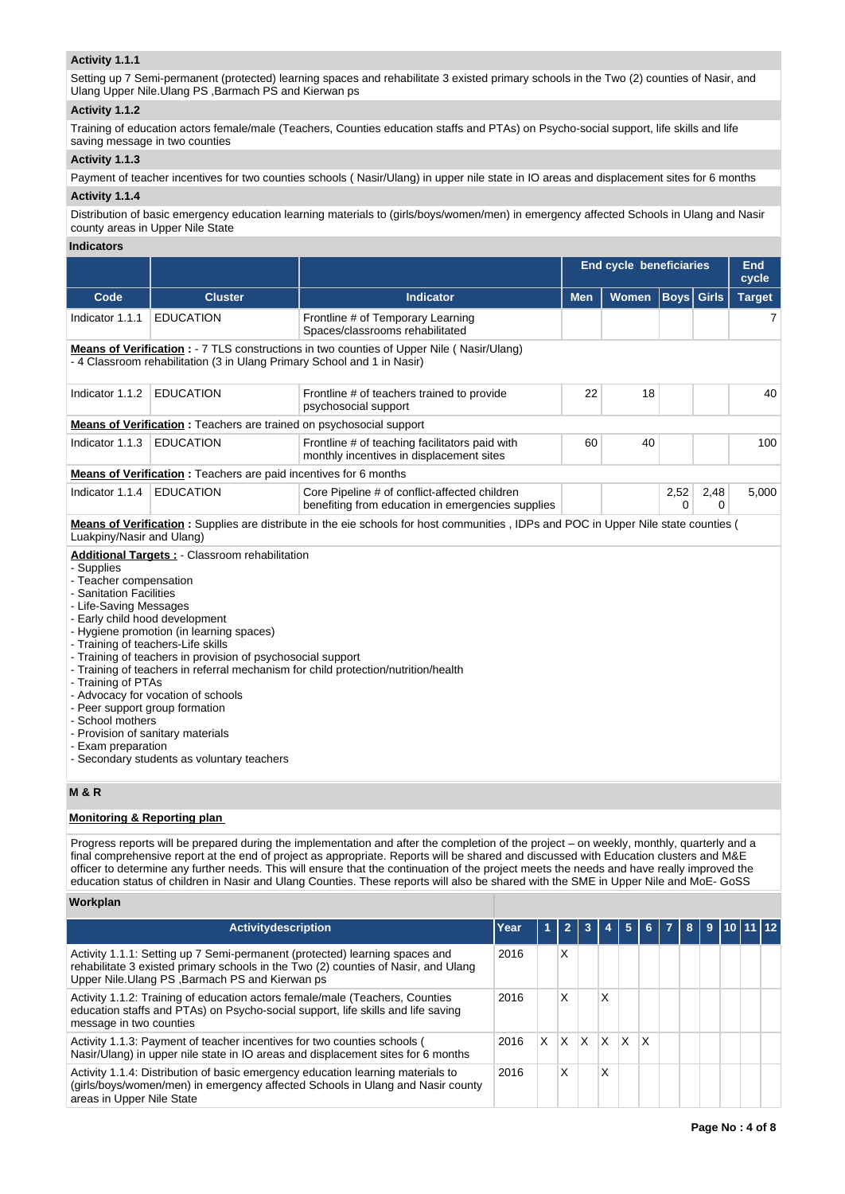# **Activity 1.1.1**

Setting up 7 Semi-permanent (protected) learning spaces and rehabilitate 3 existed primary schools in the Two (2) counties of Nasir, and Ulang Upper Nile.Ulang PS ,Barmach PS and Kierwan ps

#### **Activity 1.1.2**

Training of education actors female/male (Teachers, Counties education staffs and PTAs) on Psycho-social support, life skills and life saving message in two counties

## **Activity 1.1.3**

Payment of teacher incentives for two counties schools ( Nasir/Ulang) in upper nile state in IO areas and displacement sites for 6 months

# **Activity 1.1.4**

Distribution of basic emergency education learning materials to (girls/boys/women/men) in emergency affected Schools in Ulang and Nasir county areas in Upper Nile State

# **Indicators**

|                                                                                                                                                                                                                                                                                                       |                                                                                                                                                                                                                                                                                           |                                                                                                                                                                                                                                   | <b>End cycle beneficiaries</b> |       |                   |                  | End<br>cycle  |
|-------------------------------------------------------------------------------------------------------------------------------------------------------------------------------------------------------------------------------------------------------------------------------------------------------|-------------------------------------------------------------------------------------------------------------------------------------------------------------------------------------------------------------------------------------------------------------------------------------------|-----------------------------------------------------------------------------------------------------------------------------------------------------------------------------------------------------------------------------------|--------------------------------|-------|-------------------|------------------|---------------|
| Code                                                                                                                                                                                                                                                                                                  | <b>Cluster</b>                                                                                                                                                                                                                                                                            | <b>Indicator</b>                                                                                                                                                                                                                  | <b>Men</b>                     | Women | <b>Boys</b> Girls |                  | <b>Target</b> |
| Indicator 1.1.1                                                                                                                                                                                                                                                                                       | <b>EDUCATION</b>                                                                                                                                                                                                                                                                          | Frontline # of Temporary Learning<br>Spaces/classrooms rehabilitated                                                                                                                                                              |                                |       |                   |                  | 7             |
|                                                                                                                                                                                                                                                                                                       | - 4 Classroom rehabilitation (3 in Ulang Primary School and 1 in Nasir)                                                                                                                                                                                                                   | Means of Verification : - 7 TLS constructions in two counties of Upper Nile (Nasir/Ulang)                                                                                                                                         |                                |       |                   |                  |               |
| Indicator 1.1.2                                                                                                                                                                                                                                                                                       | <b>EDUCATION</b>                                                                                                                                                                                                                                                                          | Frontline # of teachers trained to provide<br>psychosocial support                                                                                                                                                                | 22                             | 18    |                   |                  | 40            |
|                                                                                                                                                                                                                                                                                                       | <b>Means of Verification</b> : Teachers are trained on psychosocial support                                                                                                                                                                                                               |                                                                                                                                                                                                                                   |                                |       |                   |                  |               |
| Indicator 1.1.3                                                                                                                                                                                                                                                                                       | <b>EDUCATION</b>                                                                                                                                                                                                                                                                          | Frontline # of teaching facilitators paid with<br>monthly incentives in displacement sites                                                                                                                                        | 60                             | 40    |                   |                  | 100           |
|                                                                                                                                                                                                                                                                                                       | <b>Means of Verification:</b> Teachers are paid incentives for 6 months                                                                                                                                                                                                                   |                                                                                                                                                                                                                                   |                                |       |                   |                  |               |
| Indicator 1.1.4                                                                                                                                                                                                                                                                                       | <b>EDUCATION</b>                                                                                                                                                                                                                                                                          | Core Pipeline # of conflict-affected children<br>benefiting from education in emergencies supplies                                                                                                                                |                                |       | 2,52<br>$\Omega$  | 2,48<br>$\Omega$ | 5,000         |
| Luakpiny/Nasir and Ulang)<br>- Supplies<br>- Teacher compensation<br><b>Sanitation Facilities</b><br>- Life-Saving Messages<br>- Early child hood development<br>- Training of teachers-Life skills<br>- Training of PTAs<br>- Peer support group formation<br>- School mothers<br>- Exam preparation | <b>Additional Targets:</b> - Classroom rehabilitation<br>- Hygiene promotion (in learning spaces)<br>- Training of teachers in provision of psychosocial support<br>- Advocacy for vocation of schools<br>- Provision of sanitary materials<br>- Secondary students as voluntary teachers | <b>Means of Verification</b> : Supplies are distribute in the eie schools for host communities, IDPs and POC in Upper Nile state counties (<br>- Training of teachers in referral mechanism for child protection/nutrition/health |                                |       |                   |                  |               |
| <b>M&amp;R</b>                                                                                                                                                                                                                                                                                        |                                                                                                                                                                                                                                                                                           |                                                                                                                                                                                                                                   |                                |       |                   |                  |               |
| <b>Monitoring &amp; Reporting plan</b>                                                                                                                                                                                                                                                                |                                                                                                                                                                                                                                                                                           |                                                                                                                                                                                                                                   |                                |       |                   |                  |               |

Progress reports will be prepared during the implementation and after the completion of the project – on weekly, monthly, quarterly and a final comprehensive report at the end of project as appropriate. Reports will be shared and discussed with Education clusters and M&E officer to determine any further needs. This will ensure that the continuation of the project meets the needs and have really improved the education status of children in Nasir and Ulang Counties. These reports will also be shared with the SME in Upper Nile and MoE- GoSS

## **Workplan**

| <b>Activitydescription</b>                                                                                                                                                                                           | Year |    | $\overline{\phantom{a}}$ | 3   |     | 5 | 6 |  | 9 10 11 12 |  |
|----------------------------------------------------------------------------------------------------------------------------------------------------------------------------------------------------------------------|------|----|--------------------------|-----|-----|---|---|--|------------|--|
| Activity 1.1.1: Setting up 7 Semi-permanent (protected) learning spaces and<br>rehabilitate 3 existed primary schools in the Two (2) counties of Nasir, and Ulang<br>Upper Nile. Ulang PS, Barmach PS and Kierwan ps | 2016 |    | X                        |     |     |   |   |  |            |  |
| Activity 1.1.2: Training of education actors female/male (Teachers, Counties<br>education staffs and PTAs) on Psycho-social support, life skills and life saving<br>message in two counties                          | 2016 |    | X                        |     | X   |   |   |  |            |  |
| Activity 1.1.3: Payment of teacher incentives for two counties schools (<br>Nasir/Ulang) in upper nile state in IO areas and displacement sites for 6 months                                                         | 2016 | X. | IX.                      | ΙX. | ΙX. | X | X |  |            |  |
| Activity 1.1.4: Distribution of basic emergency education learning materials to<br>(girls/boys/women/men) in emergency affected Schools in Ulang and Nasir county<br>areas in Upper Nile State                       | 2016 |    | X                        |     | X   |   |   |  |            |  |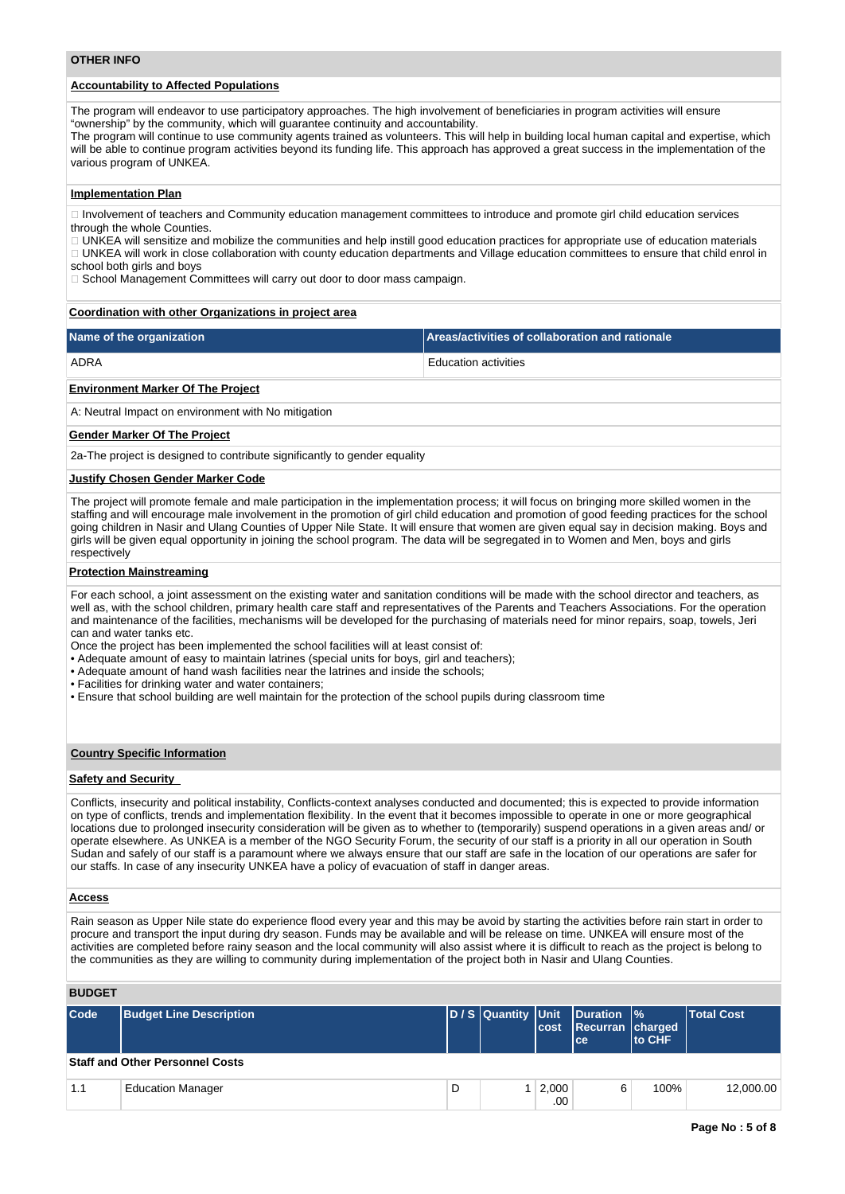# **Accountability to Affected Populations**

The program will endeavor to use participatory approaches. The high involvement of beneficiaries in program activities will ensure "ownership" by the community, which will guarantee continuity and accountability.

The program will continue to use community agents trained as volunteers. This will help in building local human capital and expertise, which will be able to continue program activities beyond its funding life. This approach has approved a great success in the implementation of the various program of UNKEA.

#### **Implementation Plan**

Involvement of teachers and Community education management committees to introduce and promote girl child education services through the whole Counties.

UNKEA will sensitize and mobilize the communities and help instill good education practices for appropriate use of education materials UNKEA will work in close collaboration with county education departments and Village education committees to ensure that child enrol in

school both girls and boys

□ School Management Committees will carry out door to door mass campaign.

#### **Coordination with other Organizations in project area**

| Name of the organization | Areas/activities of collaboration and rationale |
|--------------------------|-------------------------------------------------|
| ADRA                     | <b>Education activities</b>                     |

#### **Environment Marker Of The Project**

A: Neutral Impact on environment with No mitigation

#### **Gender Marker Of The Project**

2a-The project is designed to contribute significantly to gender equality

#### **Justify Chosen Gender Marker Code**

The project will promote female and male participation in the implementation process; it will focus on bringing more skilled women in the staffing and will encourage male involvement in the promotion of girl child education and promotion of good feeding practices for the school going children in Nasir and Ulang Counties of Upper Nile State. It will ensure that women are given equal say in decision making. Boys and girls will be given equal opportunity in joining the school program. The data will be segregated in to Women and Men, boys and girls respectively

#### **Protection Mainstreaming**

For each school, a joint assessment on the existing water and sanitation conditions will be made with the school director and teachers, as well as, with the school children, primary health care staff and representatives of the Parents and Teachers Associations. For the operation and maintenance of the facilities, mechanisms will be developed for the purchasing of materials need for minor repairs, soap, towels, Jeri can and water tanks etc.

Once the project has been implemented the school facilities will at least consist of:

- Adequate amount of easy to maintain latrines (special units for boys, girl and teachers);
- Adequate amount of hand wash facilities near the latrines and inside the schools;
- Facilities for drinking water and water containers;
- Ensure that school building are well maintain for the protection of the school pupils during classroom time

## **Country Specific Information**

#### **Safety and Security**

Conflicts, insecurity and political instability, Conflicts-context analyses conducted and documented; this is expected to provide information on type of conflicts, trends and implementation flexibility. In the event that it becomes impossible to operate in one or more geographical locations due to prolonged insecurity consideration will be given as to whether to (temporarily) suspend operations in a given areas and/ or operate elsewhere. As UNKEA is a member of the NGO Security Forum, the security of our staff is a priority in all our operation in South Sudan and safely of our staff is a paramount where we always ensure that our staff are safe in the location of our operations are safer for our staffs. In case of any insecurity UNKEA have a policy of evacuation of staff in danger areas.

#### **Access**

Rain season as Upper Nile state do experience flood every year and this may be avoid by starting the activities before rain start in order to procure and transport the input during dry season. Funds may be available and will be release on time. UNKEA will ensure most of the activities are completed before rainy season and the local community will also assist where it is difficult to reach as the project is belong to the communities as they are willing to community during implementation of the project both in Nasir and Ulang Counties.

## **BUDGET**

| Code | <b>Budget Line Description</b>         |   | lcost                 | D/S Quantity Unit Duration %<br>Recurran charged<br>lce: | <b>Ito CHF</b> | <b>Total Cost</b> |
|------|----------------------------------------|---|-----------------------|----------------------------------------------------------|----------------|-------------------|
|      | <b>Staff and Other Personnel Costs</b> |   |                       |                                                          |                |                   |
| 1.1  | <b>Education Manager</b>               | D | $1 \mid 2,000$<br>.00 | 6                                                        | 100%           | 12,000.00         |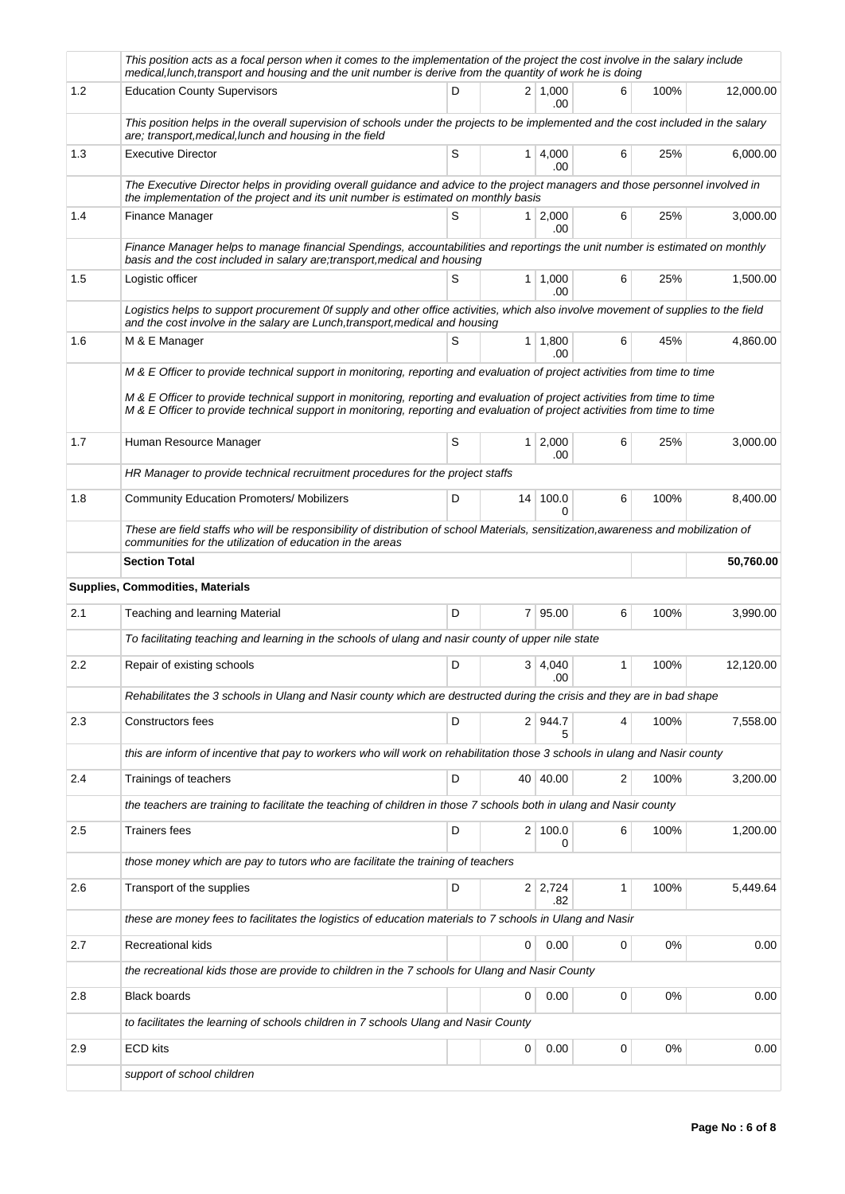|         | This position acts as a focal person when it comes to the implementation of the project the cost involve in the salary include<br>medical, lunch, transport and housing and the unit number is derive from the quantity of work he is doing                                                                                                                                            |   |    |                        |   |       |           |
|---------|----------------------------------------------------------------------------------------------------------------------------------------------------------------------------------------------------------------------------------------------------------------------------------------------------------------------------------------------------------------------------------------|---|----|------------------------|---|-------|-----------|
| 1.2     | <b>Education County Supervisors</b>                                                                                                                                                                                                                                                                                                                                                    | D |    | $2 \mid 1,000$<br>.00  | 6 | 100%  | 12.000.00 |
|         | This position helps in the overall supervision of schools under the projects to be implemented and the cost included in the salary<br>are; transport, medical, lunch and housing in the field                                                                                                                                                                                          |   |    |                        |   |       |           |
| 1.3     | <b>Executive Director</b>                                                                                                                                                                                                                                                                                                                                                              | S |    | $1 \mid 4,000$<br>.00. | 6 | 25%   | 6,000.00  |
|         | The Executive Director helps in providing overall guidance and advice to the project managers and those personnel involved in<br>the implementation of the project and its unit number is estimated on monthly basis                                                                                                                                                                   |   |    |                        |   |       |           |
| 1.4     | Finance Manager                                                                                                                                                                                                                                                                                                                                                                        | S |    | $1 \mid 2,000$<br>.00  | 6 | 25%   | 3,000.00  |
|         | Finance Manager helps to manage financial Spendings, accountabilities and reportings the unit number is estimated on monthly<br>basis and the cost included in salary are; transport, medical and housing                                                                                                                                                                              |   |    |                        |   |       |           |
| 1.5     | Logistic officer                                                                                                                                                                                                                                                                                                                                                                       | S |    | $1 \mid 1,000$<br>.00  | 6 | 25%   | 1,500.00  |
|         | Logistics helps to support procurement Of supply and other office activities, which also involve movement of supplies to the field<br>and the cost involve in the salary are Lunch, transport, medical and housing                                                                                                                                                                     |   |    |                        |   |       |           |
| 1.6     | M & E Manager                                                                                                                                                                                                                                                                                                                                                                          | S |    | $1 \mid 1,800$<br>.00. | 6 | 45%   | 4,860.00  |
|         | M & E Officer to provide technical support in monitoring, reporting and evaluation of project activities from time to time<br>M & E Officer to provide technical support in monitoring, reporting and evaluation of project activities from time to time<br>M & E Officer to provide technical support in monitoring, reporting and evaluation of project activities from time to time |   |    |                        |   |       |           |
| 1.7     | Human Resource Manager                                                                                                                                                                                                                                                                                                                                                                 | S |    | $1 \mid 2,000$<br>.00  | 6 | 25%   | 3,000.00  |
|         | HR Manager to provide technical recruitment procedures for the project staffs                                                                                                                                                                                                                                                                                                          |   |    |                        |   |       |           |
| 1.8     | <b>Community Education Promoters/ Mobilizers</b>                                                                                                                                                                                                                                                                                                                                       | D |    | 14 100.0<br>0          | 6 | 100%  | 8,400.00  |
|         | These are field staffs who will be responsibility of distribution of school Materials, sensitization, awareness and mobilization of<br>communities for the utilization of education in the areas                                                                                                                                                                                       |   |    |                        |   |       |           |
|         | <b>Section Total</b>                                                                                                                                                                                                                                                                                                                                                                   |   |    |                        |   |       | 50,760.00 |
|         |                                                                                                                                                                                                                                                                                                                                                                                        |   |    |                        |   |       |           |
|         | Supplies, Commodities, Materials                                                                                                                                                                                                                                                                                                                                                       |   |    |                        |   |       |           |
| 2.1     | Teaching and learning Material                                                                                                                                                                                                                                                                                                                                                         | D |    | 7 95.00                | 6 | 100%  | 3,990.00  |
|         | To facilitating teaching and learning in the schools of ulang and nasir county of upper nile state                                                                                                                                                                                                                                                                                     |   |    |                        |   |       |           |
| 2.2     | Repair of existing schools                                                                                                                                                                                                                                                                                                                                                             | D |    | $3 \mid 4,040$<br>.00  | 1 | 100%  | 12,120.00 |
|         | Rehabilitates the 3 schools in Ulang and Nasir county which are destructed during the crisis and they are in bad shape                                                                                                                                                                                                                                                                 |   |    |                        |   |       |           |
| 2.3     | Constructors fees                                                                                                                                                                                                                                                                                                                                                                      | D |    | 2 944.7<br>5           | 4 | 100%  | 7,558.00  |
|         | this are inform of incentive that pay to workers who will work on rehabilitation those 3 schools in ulang and Nasir county                                                                                                                                                                                                                                                             |   |    |                        |   |       |           |
| 2.4     | Trainings of teachers                                                                                                                                                                                                                                                                                                                                                                  | D | 40 | 40.00                  | 2 | 100%  | 3,200.00  |
|         | the teachers are training to facilitate the teaching of children in those 7 schools both in ulang and Nasir county                                                                                                                                                                                                                                                                     |   |    |                        |   |       |           |
| $2.5\,$ | <b>Trainers fees</b>                                                                                                                                                                                                                                                                                                                                                                   | D |    | 2 100.0<br>0           | 6 | 100%  | 1,200.00  |
|         | those money which are pay to tutors who are facilitate the training of teachers                                                                                                                                                                                                                                                                                                        |   |    |                        |   |       |           |
| 2.6     | Transport of the supplies                                                                                                                                                                                                                                                                                                                                                              | D |    | $2 \mid 2,724$<br>.82  | 1 | 100%  | 5,449.64  |
|         | these are money fees to facilitates the logistics of education materials to 7 schools in Ulang and Nasir                                                                                                                                                                                                                                                                               |   |    |                        |   |       |           |
| 2.7     | Recreational kids                                                                                                                                                                                                                                                                                                                                                                      |   | 0  | 0.00                   | 0 | $0\%$ | 0.00      |
|         | the recreational kids those are provide to children in the 7 schools for Ulang and Nasir County                                                                                                                                                                                                                                                                                        |   |    |                        |   |       |           |
| 2.8     | <b>Black boards</b>                                                                                                                                                                                                                                                                                                                                                                    |   | 0  | 0.00                   | 0 | $0\%$ | 0.00      |
|         | to facilitates the learning of schools children in 7 schools Ulang and Nasir County                                                                                                                                                                                                                                                                                                    |   |    |                        |   |       |           |
| 2.9     | <b>ECD kits</b>                                                                                                                                                                                                                                                                                                                                                                        |   | 0  | 0.00                   | 0 | 0%    | 0.00      |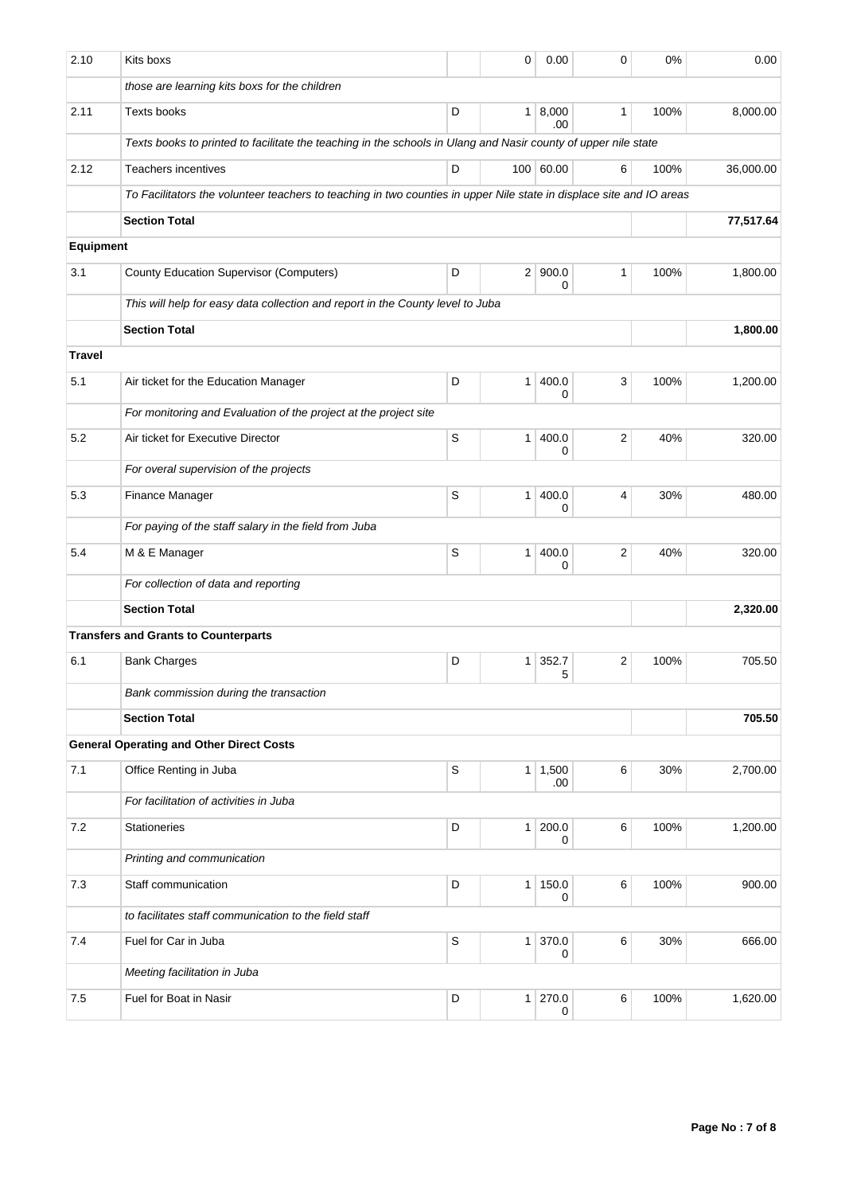| 2.10          | Kits boxs                                                                                                            |             | 0              | 0.00                   | $\mathbf 0$             | 0%   | 0.00      |
|---------------|----------------------------------------------------------------------------------------------------------------------|-------------|----------------|------------------------|-------------------------|------|-----------|
|               | those are learning kits boxs for the children                                                                        |             |                |                        |                         |      |           |
| 2.11          | Texts books                                                                                                          | D           | 1 <sup>1</sup> | 8,000<br>.00           | $\mathbf{1}$            | 100% | 8,000.00  |
|               | Texts books to printed to facilitate the teaching in the schools in Ulang and Nasir county of upper nile state       |             |                |                        |                         |      |           |
| 2.12          | <b>Teachers incentives</b>                                                                                           | D           |                | 100 60.00              | 6                       | 100% | 36,000.00 |
|               | To Facilitators the volunteer teachers to teaching in two counties in upper Nile state in displace site and IO areas |             |                |                        |                         |      |           |
|               | <b>Section Total</b>                                                                                                 |             | 77,517.64      |                        |                         |      |           |
| Equipment     |                                                                                                                      |             |                |                        |                         |      |           |
| 3.1           | <b>County Education Supervisor (Computers)</b>                                                                       | D           | 2 <sup>1</sup> | 900.0<br>0             | $\mathbf{1}$            | 100% | 1,800.00  |
|               | This will help for easy data collection and report in the County level to Juba                                       |             |                |                        |                         |      |           |
|               | <b>Section Total</b>                                                                                                 |             | 1,800.00       |                        |                         |      |           |
| <b>Travel</b> |                                                                                                                      |             |                |                        |                         |      |           |
| 5.1           | Air ticket for the Education Manager                                                                                 | D           | $\mathbf{1}$   | 400.0<br>0             | 3                       | 100% | 1,200.00  |
|               | For monitoring and Evaluation of the project at the project site                                                     |             |                |                        |                         |      |           |
| 5.2           | Air ticket for Executive Director                                                                                    | S           | 1              | 400.0<br>0             | $\overline{\mathbf{c}}$ | 40%  | 320.00    |
|               | For overal supervision of the projects                                                                               |             |                |                        |                         |      |           |
| 5.3           | Finance Manager                                                                                                      | S           | $\mathbf{1}$   | 400.0<br>0             | 4                       | 30%  | 480.00    |
|               | For paying of the staff salary in the field from Juba                                                                |             |                |                        |                         |      |           |
| 5.4           | M & E Manager                                                                                                        | S           | $\mathbf{1}$   | 400.0<br>0             | 2                       | 40%  | 320.00    |
|               | For collection of data and reporting                                                                                 |             |                |                        |                         |      |           |
|               | <b>Section Total</b>                                                                                                 |             |                | 2,320.00               |                         |      |           |
|               | <b>Transfers and Grants to Counterparts</b>                                                                          |             |                |                        |                         |      |           |
| 6.1           | <b>Bank Charges</b>                                                                                                  | D           | $\mathbf{1}$   | 352.7<br>5             | $\overline{\mathbf{c}}$ | 100% | 705.50    |
|               | Bank commission during the transaction                                                                               |             |                |                        |                         |      |           |
|               | <b>Section Total</b>                                                                                                 |             | 705.50         |                        |                         |      |           |
|               | <b>General Operating and Other Direct Costs</b>                                                                      |             |                |                        |                         |      |           |
| 7.1           | Office Renting in Juba                                                                                               | $\mathbb S$ |                | $1 \mid 1,500$<br>.00. | 6                       | 30%  | 2,700.00  |
|               | For facilitation of activities in Juba                                                                               |             |                |                        |                         |      |           |
| $7.2\,$       | <b>Stationeries</b>                                                                                                  | D           | 1              | 200.0<br>0             | 6                       | 100% | 1,200.00  |
|               | Printing and communication                                                                                           |             |                |                        |                         |      |           |
| 7.3           | Staff communication                                                                                                  | D           | $\mathbf{1}$   | 150.0<br>0             | 6                       | 100% | 900.00    |
|               | to facilitates staff communication to the field staff                                                                |             |                |                        |                         |      |           |
| 7.4           | Fuel for Car in Juba                                                                                                 | S           | 1              | 370.0<br>0             | 6                       | 30%  | 666.00    |
|               | Meeting facilitation in Juba                                                                                         |             |                |                        |                         |      |           |
| 7.5           | Fuel for Boat in Nasir                                                                                               | D           | 1              | 270.0<br>0             | 6                       | 100% | 1,620.00  |
|               |                                                                                                                      |             |                |                        |                         |      |           |